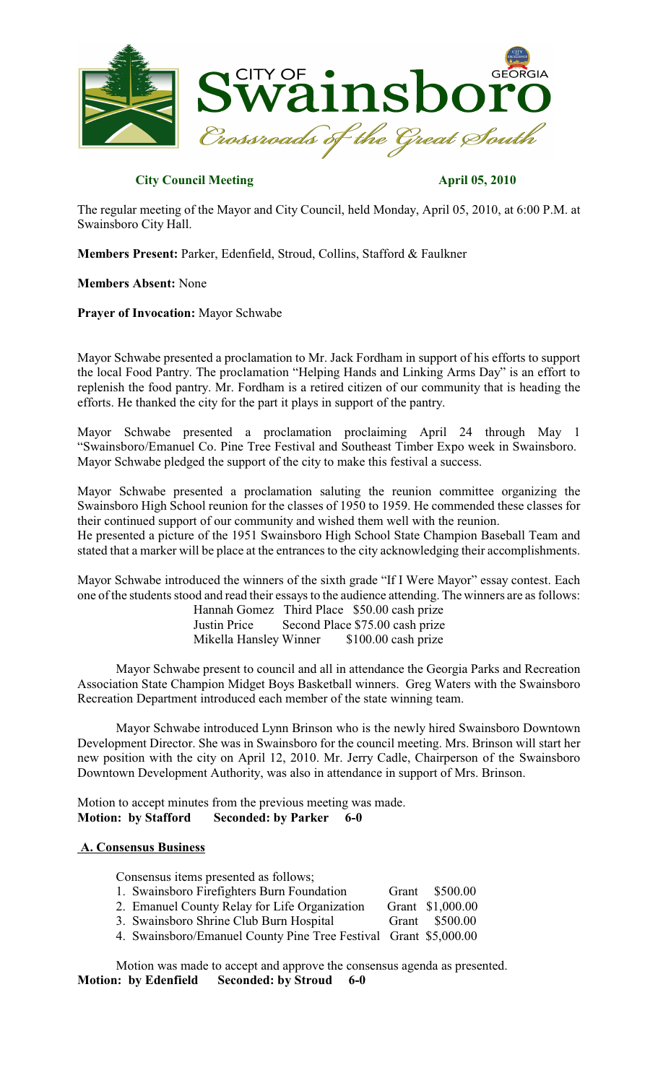

# **City Council Meeting April 05, 2010**

The regular meeting of the Mayor and City Council, held Monday, April 05, 2010, at 6:00 P.M. at Swainsboro City Hall.

**Members Present:** Parker, Edenfield, Stroud, Collins, Stafford & Faulkner

# **Members Absent:** None

**Prayer of Invocation:** Mayor Schwabe

Mayor Schwabe presented a proclamation to Mr. Jack Fordham in support of his efforts to support the local Food Pantry. The proclamation "Helping Hands and Linking Arms Day" is an effort to replenish the food pantry. Mr. Fordham is a retired citizen of our community that is heading the efforts. He thanked the city for the part it plays in support of the pantry.

Mayor Schwabe presented a proclamation proclaiming April 24 through May 1 "Swainsboro/Emanuel Co. Pine Tree Festival and Southeast Timber Expo week in Swainsboro. Mayor Schwabe pledged the support of the city to make this festival a success.

Mayor Schwabe presented a proclamation saluting the reunion committee organizing the Swainsboro High School reunion for the classes of 1950 to 1959. He commended these classes for their continued support of our community and wished them well with the reunion. He presented a picture of the 1951 Swainsboro High School State Champion Baseball Team and stated that a marker will be place at the entrances to the city acknowledging their accomplishments.

Mayor Schwabe introduced the winners of the sixth grade "If I Were Mayor" essay contest. Each one of the students stood and read their essays to the audience attending. The winners are as follows:

Hannah Gomez Third Place \$50.00 cash prize Justin Price Second Place \$75.00 cash prize Mikella Hansley Winner \$100.00 cash prize

Mayor Schwabe present to council and all in attendance the Georgia Parks and Recreation Association State Champion Midget Boys Basketball winners. Greg Waters with the Swainsboro Recreation Department introduced each member of the state winning team.

Mayor Schwabe introduced Lynn Brinson who is the newly hired Swainsboro Downtown Development Director. She was in Swainsboro for the council meeting. Mrs. Brinson will start her new position with the city on April 12, 2010. Mr. Jerry Cadle, Chairperson of the Swainsboro Downtown Development Authority, was also in attendance in support of Mrs. Brinson.

Motion to accept minutes from the previous meeting was made. **Motion: by Stafford Seconded: by Parker 6-0**

# **A. Consensus Business**

Consensus items presented as follows;

| 1. Swainsboro Firefighters Burn Foundation                       | Grant \$500.00   |
|------------------------------------------------------------------|------------------|
| 2. Emanuel County Relay for Life Organization                    | Grant \$1,000.00 |
| 3. Swainsboro Shrine Club Burn Hospital                          | Grant \$500.00   |
| 4. Swainsboro/Emanuel County Pine Tree Festival Grant \$5,000.00 |                  |

Motion was made to accept and approve the consensus agenda as presented. **Motion: by Edenfield Seconded: by Stroud 6-0**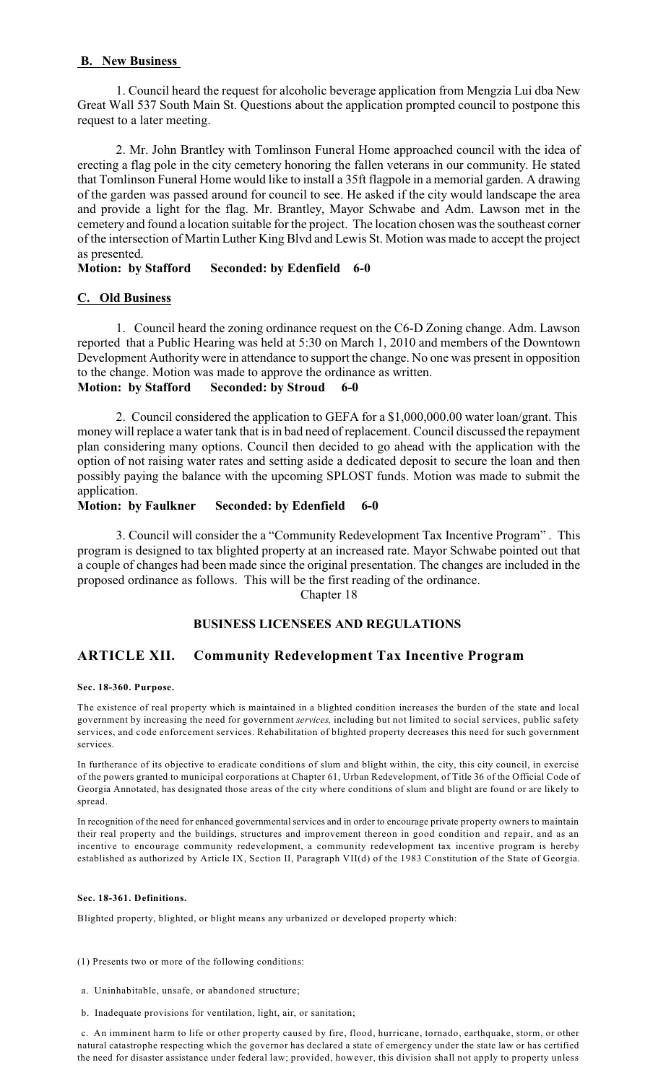# **B. New Business**

1. Council heard the request for alcoholic beverage application from Mengzia Lui dba New Great Wall 537 South Main St. Questions about the application prompted council to postpone this request to a later meeting.

2. Mr. John Brantley with Tomlinson Funeral Home approached council with the idea of erecting a flag pole in the city cemetery honoring the fallen veterans in our community. He stated that Tomlinson Funeral Home would like to install a 35ft flagpole in a memorial garden. A drawing of the garden was passed around for council to see. He asked if the city would landscape the area and provide a light for the flag. Mr. Brantley, Mayor Schwabe and Adm. Lawson met in the cemetery and found a location suitable for the project. The location chosen was the southeast corner of the intersection of Martin Luther King Blvd and Lewis St. Motion was made to accept the project as presented.

# **Motion: by Stafford Seconded: by Edenfield 6-0**

# **C. Old Business**

1. Council heard the zoning ordinance request on the C6-D Zoning change. Adm. Lawson reported that a Public Hearing was held at 5:30 on March 1, 2010 and members of the Downtown Development Authority were in attendance to support the change. No one was present in opposition to the change. Motion was made to approve the ordinance as written.

**Motion: by Stafford Seconded: by Stroud 6-0**

2. Council considered the application to GEFA for a \$1,000,000.00 water loan/grant. This money will replace a water tank that is in bad need of replacement. Council discussed the repayment plan considering many options. Council then decided to go ahead with the application with the option of not raising water rates and setting aside a dedicated deposit to secure the loan and then possibly paying the balance with the upcoming SPLOST funds. Motion was made to submit the application.

# **Motion: by Faulkner Seconded: by Edenfield 6-0**

3. Council will consider the a "Community Redevelopment Tax Incentive Program" . This program is designed to tax blighted property at an increased rate. Mayor Schwabe pointed out that a couple of changes had been made since the original presentation. The changes are included in the proposed ordinance as follows. This will be the first reading of the ordinance.

Chapter 18

# **BUSINESS LICENSEES AND REGULATIONS**

# **ARTICLE XII. Community Redevelopment Tax Incentive Program**

## **Sec. 18-360. Purpose.**

The existence of real property which is maintained in a blighted condition increases the burden of the state and local government by increasing the need for government *services,* including but not limited to social services, public safety services, and code enforcement services. Rehabilitation of blighted property decreases this need for such government services.

In furtherance of its objective to eradicate conditions of slum and blight within, the city, this city council, in exercise of the powers granted to municipal corporations at Chapter 61, Urban Redevelopment, of Title 36 of the Official Code of Georgia Annotated, has designated those areas of the city where conditions of slum and blight are found or are likely to spread.

In recognition of the need for enhanced governmental services and in order to encourage private property owners to maintain their real property and the buildings, structures and improvement thereon in good condition and repair, and as an incentive to encourage community redevelopment, a community redevelopment tax incentive program is hereby established as authorized by Article IX, Section II, Paragraph VII(d) of the 1983 Constitution of the State of Georgia.

## **Sec. 18-361. Definitions.**

Blighted property, blighted, or blight means any urbanized or developed property which:

(1) Presents two or more of the following conditions:

- a. Uninhabitable, unsafe, or abandoned structure;
- b. Inadequate provisions for ventilation, light, air, or sanitation;

c. An imminent harm to life or other property caused by fire, flood, hurricane, tornado, earthquake, storm, or other natural catastrophe respecting which the governor has declared a state of emergency under the state law or has certified the need for disaster assistance under federal law; provided, however, this division shall not apply to property unless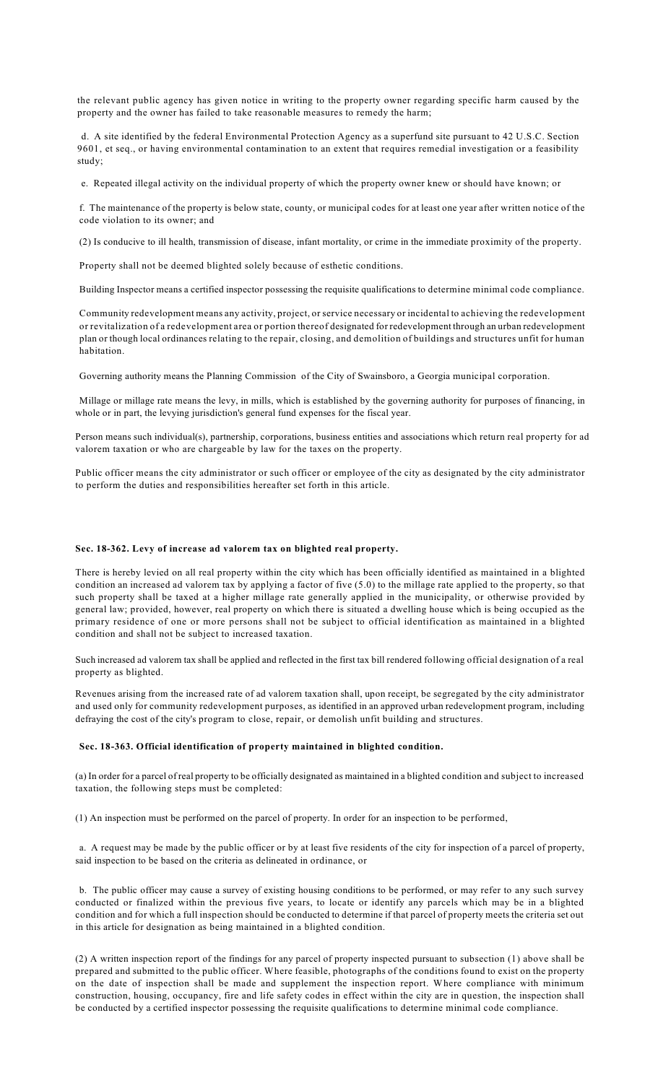the relevant public agency has given notice in writing to the property owner regarding specific harm caused by the property and the owner has failed to take reasonable measures to remedy the harm;

d. A site identified by the federal Environmental Protection Agency as a superfund site pursuant to 42 U.S.C. Section 9601, et seq., or having environmental contamination to an extent that requires remedial investigation or a feasibility study;

e. Repeated illegal activity on the individual property of which the property owner knew or should have known; or

f. The maintenance of the property is below state, county, or municipal codes for at least one year after written notice of the code violation to its owner; and

(2) Is conducive to ill health, transmission of disease, infant mortality, or crime in the immediate proximity of the property.

Property shall not be deemed blighted solely because of esthetic conditions.

Building Inspector means a certified inspector possessing the requisite qualifications to determine minimal code compliance.

Community redevelopment means any activity, project, or service necessary or incidental to achieving the redevelopment or revitalization of a redevelopment area or portion thereof designated for redevelopment through an urban redevelopment plan or though local ordinances relating to the repair, closing, and demolition of buildings and structures unfit for human habitation.

Governing authority means the Planning Commission of the City of Swainsboro, a Georgia municipal corporation.

Millage or millage rate means the levy, in mills, which is established by the governing authority for purposes of financing, in whole or in part, the levying jurisdiction's general fund expenses for the fiscal year.

Person means such individual(s), partnership, corporations, business entities and associations which return real property for ad valorem taxation or who are chargeable by law for the taxes on the property.

Public officer means the city administrator or such officer or employee of the city as designated by the city administrator to perform the duties and responsibilities hereafter set forth in this article.

### **Sec. 18-362. Levy of increase ad valorem tax on blighted real property.**

There is hereby levied on all real property within the city which has been officially identified as maintained in a blighted condition an increased ad valorem tax by applying a factor of five (5.0) to the millage rate applied to the property, so that such property shall be taxed at a higher millage rate generally applied in the municipality, or otherwise provided by general law; provided, however, real property on which there is situated a dwelling house which is being occupied as the primary residence of one or more persons shall not be subject to official identification as maintained in a blighted condition and shall not be subject to increased taxation.

Such increased ad valorem tax shall be applied and reflected in the first tax bill rendered following official designation of a real property as blighted.

Revenues arising from the increased rate of ad valorem taxation shall, upon receipt, be segregated by the city administrator and used only for community redevelopment purposes, as identified in an approved urban redevelopment program, including defraying the cost of the city's program to close, repair, or demolish unfit building and structures.

#### **Sec. 18-363. Official identification of property maintained in blighted condition.**

(a) In order for a parcel of real property to be officially designated as maintained in a blighted condition and subject to increased taxation, the following steps must be completed:

(1) An inspection must be performed on the parcel of property. In order for an inspection to be performed,

a. A request may be made by the public officer or by at least five residents of the city for inspection of a parcel of property, said inspection to be based on the criteria as delineated in ordinance, or

b. The public officer may cause a survey of existing housing conditions to be performed, or may refer to any such survey conducted or finalized within the previous five years, to locate or identify any parcels which may be in a blighted condition and for which a full inspection should be conducted to determine if that parcel of property meets the criteria set out in this article for designation as being maintained in a blighted condition.

(2) A written inspection report of the findings for any parcel of property inspected pursuant to subsection (1) above shall be prepared and submitted to the public officer. Where feasible, photographs of the conditions found to exist on the property on the date of inspection shall be made and supplement the inspection report. Where compliance with minimum construction, housing, occupancy, fire and life safety codes in effect within the city are in question, the inspection shall be conducted by a certified inspector possessing the requisite qualifications to determine minimal code compliance.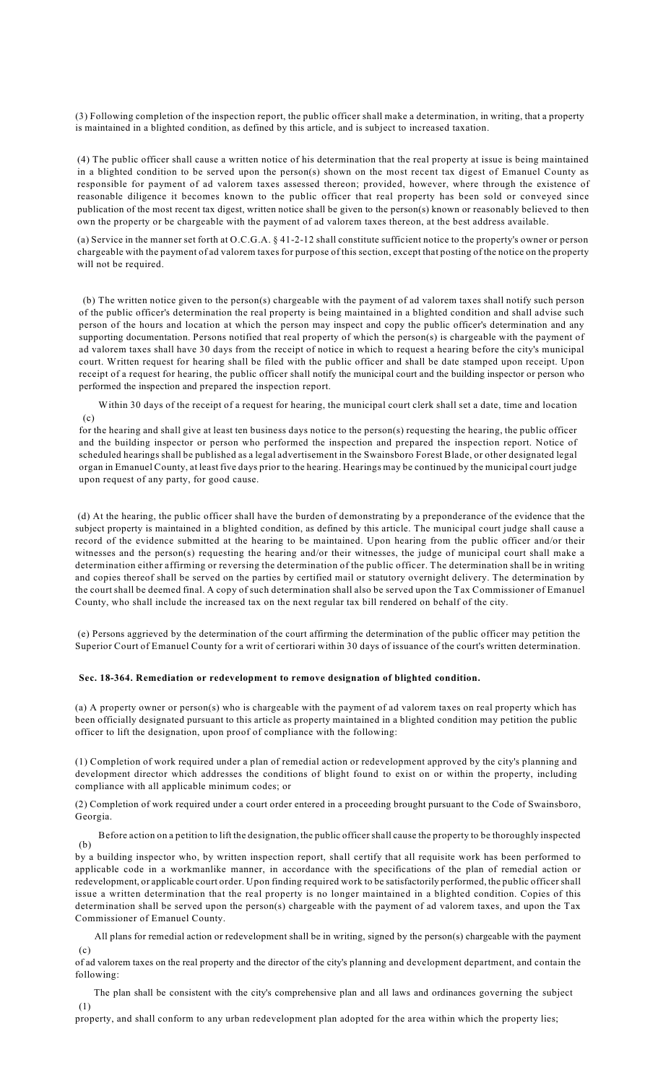(3) Following completion of the inspection report, the public officer shall make a determination, in writing, that a property is maintained in a blighted condition, as defined by this article, and is subject to increased taxation.

(4) The public officer shall cause a written notice of his determination that the real property at issue is being maintained in a blighted condition to be served upon the person(s) shown on the most recent tax digest of Emanuel County as responsible for payment of ad valorem taxes assessed thereon; provided, however, where through the existence of reasonable diligence it becomes known to the public officer that real property has been sold or conveyed since publication of the most recent tax digest, written notice shall be given to the person(s) known or reasonably believed to then own the property or be chargeable with the payment of ad valorem taxes thereon, at the best address available.

(a) Service in the manner set forth at O.C.G.A. § 41-2-12 shall constitute sufficient notice to the property's owner or person chargeable with the payment of ad valorem taxes for purpose of this section, except that posting of the notice on the property will not be required.

(b) The written notice given to the person(s) chargeable with the payment of ad valorem taxes shall notify such person of the public officer's determination the real property is being maintained in a blighted condition and shall advise such person of the hours and location at which the person may inspect and copy the public officer's determination and any supporting documentation. Persons notified that real property of which the person(s) is chargeable with the payment of ad valorem taxes shall have 30 days from the receipt of notice in which to request a hearing before the city's municipal court. Written request for hearing shall be filed with the public officer and shall be date stamped upon receipt. Upon receipt of a request for hearing, the public officer shall notify the municipal court and the building inspector or person who performed the inspection and prepared the inspection report.

(c) Within 30 days of the receipt of a request for hearing, the municipal court clerk shall set a date, time and location

for the hearing and shall give at least ten business days notice to the person(s) requesting the hearing, the public officer and the building inspector or person who performed the inspection and prepared the inspection report. Notice of scheduled hearings shall be published as a legal advertisement in the Swainsboro Forest Blade, or other designated legal organ in Emanuel County, at least five days prior to the hearing. Hearings may be continued by the municipal court judge upon request of any party, for good cause.

(d) At the hearing, the public officer shall have the burden of demonstrating by a preponderance of the evidence that the subject property is maintained in a blighted condition, as defined by this article. The municipal court judge shall cause a record of the evidence submitted at the hearing to be maintained. Upon hearing from the public officer and/or their witnesses and the person(s) requesting the hearing and/or their witnesses, the judge of municipal court shall make a determination either affirming or reversing the determination of the public officer. The determination shall be in writing and copies thereof shall be served on the parties by certified mail or statutory overnight delivery. The determination by the court shall be deemed final. A copy of such determination shall also be served upon the Tax Commissioner of Emanuel County, who shall include the increased tax on the next regular tax bill rendered on behalf of the city.

(e) Persons aggrieved by the determination of the court affirming the determination of the public officer may petition the Superior Court of Emanuel County for a writ of certiorari within 30 days of issuance of the court's written determination.

## **Sec. 18-364. Remediation or redevelopment to remove designation of blighted condition.**

(a) A property owner or person(s) who is chargeable with the payment of ad valorem taxes on real property which has been officially designated pursuant to this article as property maintained in a blighted condition may petition the public officer to lift the designation, upon proof of compliance with the following:

(1) Completion of work required under a plan of remedial action or redevelopment approved by the city's planning and development director which addresses the conditions of blight found to exist on or within the property, including compliance with all applicable minimum codes; or

(2) Completion of work required under a court order entered in a proceeding brought pursuant to the Code of Swainsboro, Georgia.

(b) Before action on a petition to lift the designation, the public officer shall cause the property to be thoroughly inspected

by a building inspector who, by written inspection report, shall certify that all requisite work has been performed to applicable code in a workmanlike manner, in accordance with the specifications of the plan of remedial action or redevelopment, or applicable court order. Upon finding required work to be satisfactorily performed, the public officer shall issue a written determination that the real property is no longer maintained in a blighted condition. Copies of this determination shall be served upon the person(s) chargeable with the payment of ad valorem taxes, and upon the Tax Commissioner of Emanuel County.

 $(c)$ All plans for remedial action or redevelopment shall be in writing, signed by the person(s) chargeable with the payment

of ad valorem taxes on the real property and the director of the city's planning and development department, and contain the following:

(1) The plan shall be consistent with the city's comprehensive plan and all laws and ordinances governing the subject

property, and shall conform to any urban redevelopment plan adopted for the area within which the property lies;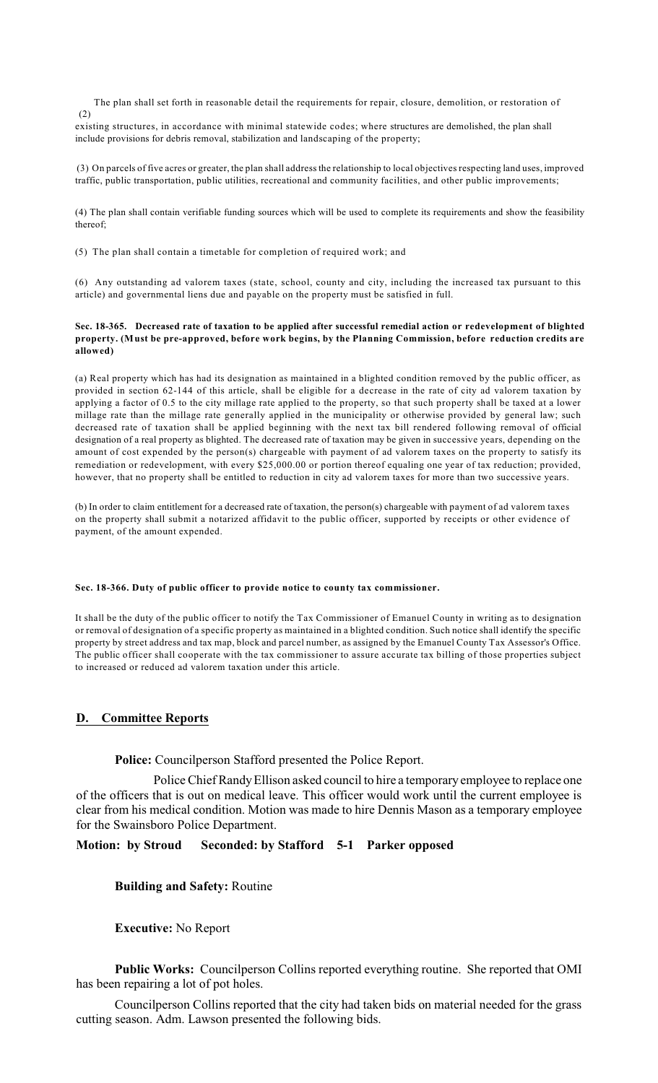(2) The plan shall set forth in reasonable detail the requirements for repair, closure, demolition, or restoration of

existing structures, in accordance with minimal statewide codes; where structures are demolished, the plan shall include provisions for debris removal, stabilization and landscaping of the property;

(3) On parcels of five acres or greater, the plan shall addressthe relationship to local objectives respecting land uses, improved traffic, public transportation, public utilities, recreational and community facilities, and other public improvements;

(4) The plan shall contain verifiable funding sources which will be used to complete its requirements and show the feasibility thereof;

(5) The plan shall contain a timetable for completion of required work; and

(6) Any outstanding ad valorem taxes (state, school, county and city, including the increased tax pursuant to this article) and governmental liens due and payable on the property must be satisfied in full.

## **Sec. 18-365. Decreased rate of taxation to be applied after successful remedial action or redevelopment of blighted property. (Must be pre-approved, before work begins, by the Planning Commission, before reduction credits are allowed)**

(a) Real property which has had its designation as maintained in a blighted condition removed by the public officer, as provided in section 62-144 of this article, shall be eligible for a decrease in the rate of city ad valorem taxation by applying a factor of 0.5 to the city millage rate applied to the property, so that such property shall be taxed at a lower millage rate than the millage rate generally applied in the municipality or otherwise provided by general law; such decreased rate of taxation shall be applied beginning with the next tax bill rendered following removal of official designation of a real property as blighted. The decreased rate of taxation may be given in successive years, depending on the amount of cost expended by the person(s) chargeable with payment of ad valorem taxes on the property to satisfy its remediation or redevelopment, with every \$25,000.00 or portion thereof equaling one year of tax reduction; provided, however, that no property shall be entitled to reduction in city ad valorem taxes for more than two successive years.

(b) In order to claim entitlement for a decreased rate of taxation, the person(s) chargeable with payment of ad valorem taxes on the property shall submit a notarized affidavit to the public officer, supported by receipts or other evidence of payment, of the amount expended.

## **Sec. 18-366. Duty of public officer to provide notice to county tax commissioner.**

It shall be the duty of the public officer to notify the Tax Commissioner of Emanuel County in writing as to designation or removal of designation of a specific property as maintained in a blighted condition. Such notice shall identify the specific property by street address and tax map, block and parcel number, as assigned by the Emanuel County Tax Assessor's Office. The public officer shall cooperate with the tax commissioner to assure accurate tax billing of those properties subject to increased or reduced ad valorem taxation under this article.

# **D. Committee Reports**

**Police:** Councilperson Stafford presented the Police Report.

Police Chief Randy Ellison asked council to hire a temporary employee to replace one of the officers that is out on medical leave. This officer would work until the current employee is clear from his medical condition. Motion was made to hire Dennis Mason as a temporary employee for the Swainsboro Police Department.

**Motion: by Stroud Seconded: by Stafford 5-1 Parker opposed**

**Building and Safety:** Routine

**Executive:** No Report

**Public Works:** Councilperson Collins reported everything routine. She reported that OMI has been repairing a lot of pot holes.

Councilperson Collins reported that the city had taken bids on material needed for the grass cutting season. Adm. Lawson presented the following bids.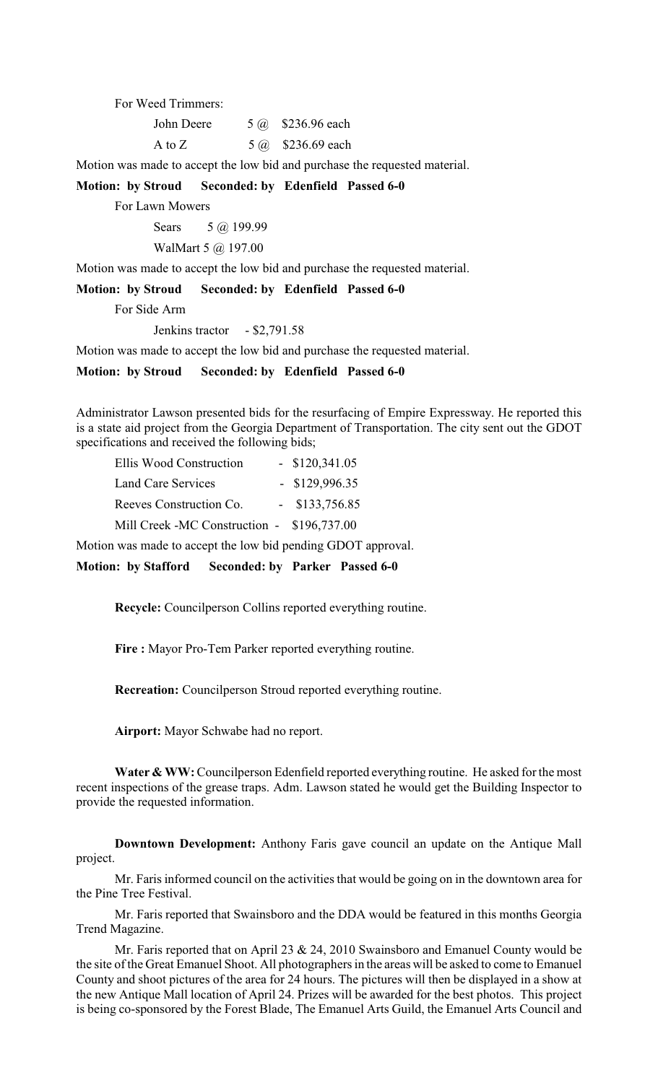For Weed Trimmers:

| John Deere | 5 @ \$236.96 each |
|------------|-------------------|
| A to $Z$   | 5 @ \$236.69 each |

Motion was made to accept the low bid and purchase the requested material.

**Motion: by Stroud Seconded: by Edenfield Passed 6-0** 

For Lawn Mowers

Sears 5 @ 199.99

WalMart 5 @ 197.00

Motion was made to accept the low bid and purchase the requested material.

**Motion: by Stroud Seconded: by Edenfield Passed 6-0** 

For Side Arm

Jenkins tractor - \$2,791.58

Motion was made to accept the low bid and purchase the requested material.

**Motion: by Stroud Seconded: by Edenfield Passed 6-0** 

Administrator Lawson presented bids for the resurfacing of Empire Expressway. He reported this is a state aid project from the Georgia Department of Transportation. The city sent out the GDOT specifications and received the following bids;

| Ellis Wood Construction                    | $-$ \$120,341.05 |
|--------------------------------------------|------------------|
| Land Care Services                         | $-$ \$129,996.35 |
| Reeves Construction Co.                    | $-$ \$133,756.85 |
| Mill Creek -MC Construction - \$196,737.00 |                  |

Motion was made to accept the low bid pending GDOT approval.

**Motion: by Stafford Seconded: by Parker Passed 6-0** 

**Recycle:** Councilperson Collins reported everything routine.

**Fire :** Mayor Pro-Tem Parker reported everything routine.

**Recreation:** Councilperson Stroud reported everything routine.

**Airport:** Mayor Schwabe had no report.

**Water & WW:**Councilperson Edenfield reported everything routine. He asked for the most recent inspections of the grease traps. Adm. Lawson stated he would get the Building Inspector to provide the requested information.

**Downtown Development:** Anthony Faris gave council an update on the Antique Mall project.

Mr. Faris informed council on the activities that would be going on in the downtown area for the Pine Tree Festival.

Mr. Faris reported that Swainsboro and the DDA would be featured in this months Georgia Trend Magazine.

Mr. Faris reported that on April 23 & 24, 2010 Swainsboro and Emanuel County would be the site of the Great Emanuel Shoot. All photographers in the areas will be asked to come to Emanuel County and shoot pictures of the area for 24 hours. The pictures will then be displayed in a show at the new Antique Mall location of April 24. Prizes will be awarded for the best photos. This project is being co-sponsored by the Forest Blade, The Emanuel Arts Guild, the Emanuel Arts Council and